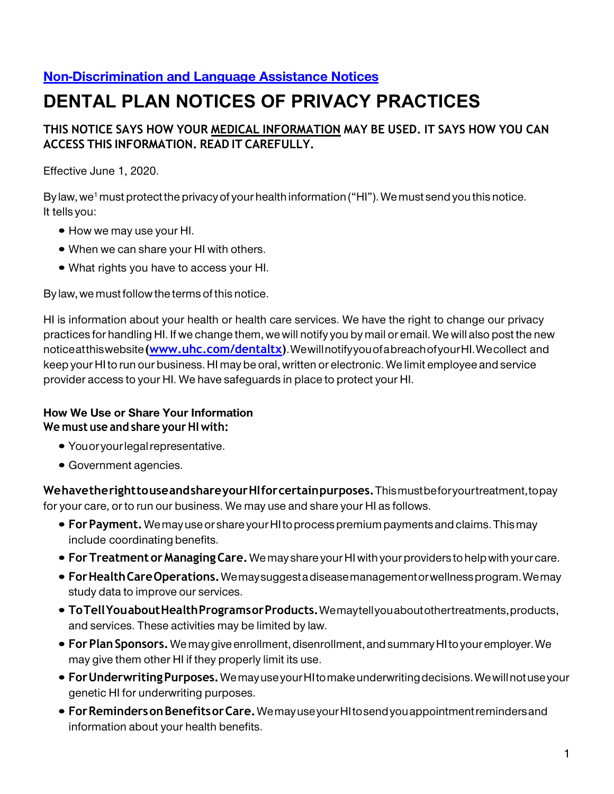# **[Non-Discrimination and Language Assistance Notices](https://www.uhc.com/content/dam/uhcdotcom/en/npp/NPP-TX-Dental-Medicaid-NDN-EN.pdf)**

# **DENTAL PLAN NOTICES OF PRIVACY PRACTICES**

## **THIS NOTICE SAYS HOW YOUR MEDICAL INFORMATION MAY BE USED. IT SAYS HOW YOU CAN ACCESS THIS INFORMATION. READ IT CAREFULLY.**

Effective June 1, 2020.

By law, we<sup>1</sup> must protect the privacy of your health information ("HI"). We must send you this notice. It tells you:

- How we may use your HI.
- When we can share your HI with others.
- What rights you have to access your HI.

By law, we must follow the terms of this notice.

HI is information about your health or health care services. We have the right to change our privacy practices for handling HI. If we change them, we will notify you by mail or email. We will also post the new noticeatthiswebsite**[\(www.uhc.com/dentaltx\)](https://www.uhc.com/dentaltx)**.WewillnotifyyouofabreachofyourHI.Wecollect and keep your HI to run our business. HI may be oral, written or electronic. We limit employee and service provider access to your HI. We have safeguards in place to protect your HI.

#### **We must use and share your HI with: How We Use or Share Your Information**

- You or your legal representative.
- Government agencies.

**WehavetherighttouseandshareyourHIforcertainpurposes.**Thismustbeforyourtreatment,topay for your care, or to run our business. We may use and share your HI as follows.

- **ForPayment.**Wemayuseor shareyour HIto processpremium paymentsandclaims.Thismay include coordinating benefits.
- **For Treatment orManagingCare.** We may share your HI with your providers to help with your care.
- **ForHealthCareOperations.**Wemaysuggestadiseasemanagementorwellnessprogram.Wemay study data to improve our services.
- **ToTellYouaboutHealthProgramsorProducts.**Wemaytellyouaboutothertreatments,products, and services. These activities may be limited by law.
- **ForPlanSponsors.**We maygive enrollment, disenrollment, and summary HI to your employer.We may give them other HI if they properly limit its use.
- **ForUnderwritingPurposes.**WemayuseyourHItomakeunderwritingdecisions.Wewillnotuseyour genetic HI for underwriting purposes.
- **ForRemindersonBenefitsorCare.**WemayuseyourHItosendyouappointmentremindersand information about your health benefits.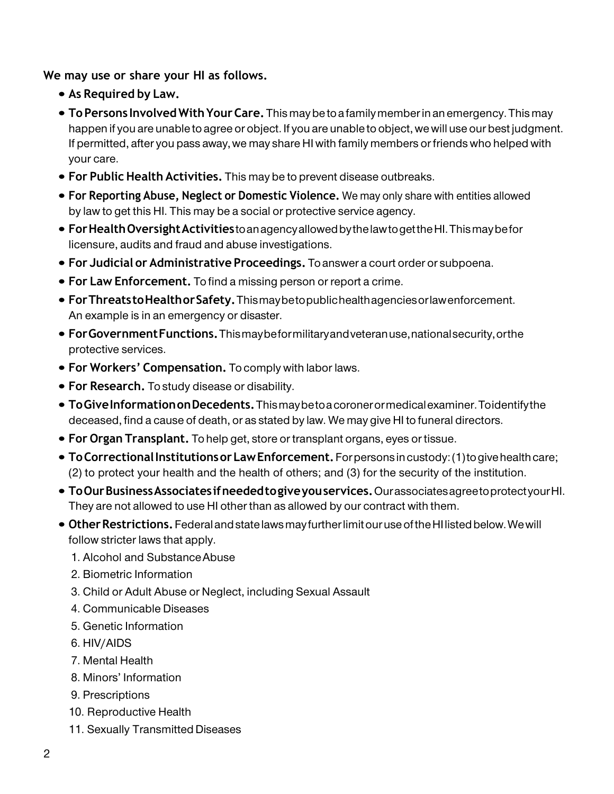**We may use or share your HI as follows.**

- **As Required by Law.**
- **ToPersons InvolvedWithYour Care.** Thismaybe to a family member in an emergency. Thismay happen if you are unable to agree or object. If you are unable to object, we will use our best judgment. If permitted, after you pass away, we may share HI with family members or friends who helped with your care.
- **For Public Health Activities.** This may be to prevent disease outbreaks.
- **For Reporting Abuse, Neglect or Domestic Violence.** We may only share with entities allowed by law to get this HI. This may be a social or protective service agency.
- **ForHealthOversightActivities**toanagencyallowedbythelawtogettheHI.Thismaybefor licensure, audits and fraud and abuse investigations.
- **For Judicial or Administrative Proceedings.** To answer a court order or subpoena.
- **For Law Enforcement.** To find a missing person or report a crime.
- **ForThreatstoHealthorSafety.**Thismaybetopublichealthagenciesorlawenforcement. An example is in an emergency or disaster.
- **ForGovernmentFunctions.**Thismaybeformilitaryandveteranuse,nationalsecurity,orthe protective services.
- **For Workers' Compensation.** To comply with labor laws.
- **For Research.** To study disease or disability.
- **ToGiveInformationonDecedents.**Thismaybetoacoronerormedicalexaminer.Toidentifythe deceased, find a cause of death, or as stated by law. We may give HI to funeral directors.
- **For Organ Transplant.** To help get, store or transplant organs, eyes or tissue.
- **ToCorrectionalInstitutionsorLawEnforcement.**Forpersonsincustody:(1)togivehealthcare; (2) to protect your health and the health of others; and (3) for the security of the institution.
- **ToOurBusinessAssociatesifneededtogiveyouservices.**OurassociatesagreetoprotectyourHI. They are not allowed to use HI other than as allowed by our contract with them.
- **OtherRestrictions.**FederalandstatelawsmayfurtherlimitouruseoftheHIlistedbelow.Wewill follow stricter laws that apply.
	- 1. Alcohol and SubstanceAbuse
	- 2. Biometric Information
	- 3. Child or Adult Abuse or Neglect, including Sexual Assault
	- 4. Communicable Diseases
	- 5. Genetic Information
	- 6. HIV/AIDS
	- 7. Mental Health
	- 8. Minors' Information
	- 9. Prescriptions
	- 10. Reproductive Health
	- 11. Sexually Transmitted Diseases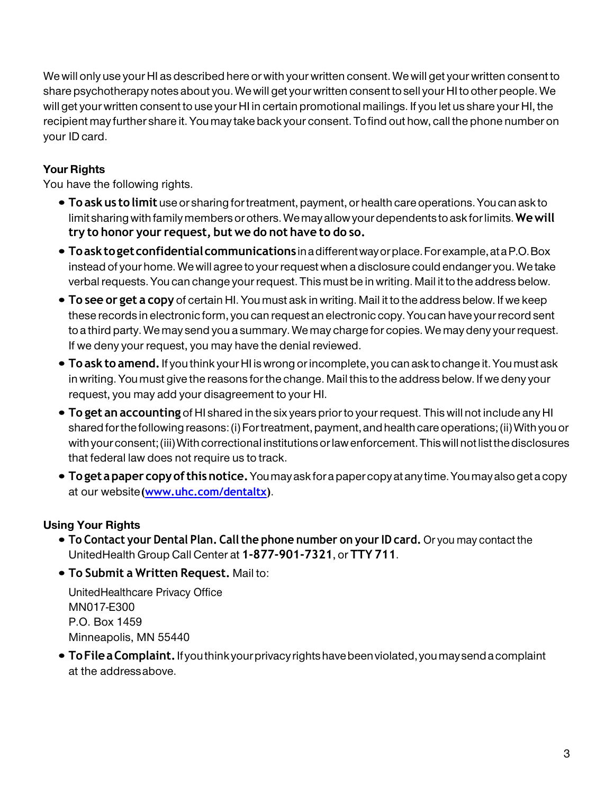We will only use your HI as described here or with your written consent. We will get your written consent to share psychotherapy notes about you. We will get your written consent to sell your HI to other people. We will get your written consent to use your HI in certain promotional mailings. If you let us share your HI, the recipient may further share it. You may take back your consent. Tofind out how, call the phone number on your ID card.

## **Your Rights**

You have the following rights.

- **To ask us to limit** use or sharing for treatment, payment, or health care operations. Youcan ask to limit sharing with family members orothers. Wemay allow your dependents to ask forlimits. **Wewill try to honor your request, but we do not have to do so.**
- **Toasktogetconfidentialcommunications** inadifferentwayorplace.Forexample,ataP.O.Box instead of your home. We will agree to your request when a disclosure could endanger you. We take verbal requests. You can change your request. This must be in writing. Mail it to the address below.
- **To see or get a copy** of certain HI. You must ask in writing. Mail it to the address below. If we keep these records in electronic form, you can request an electronic copy. Youcan have your record sent to a third party. We may send you a summary. We may charge for copies. We may deny your request. If we deny your request, you may have the denial reviewed.
- **To ask to amend.** If you think your HI is wrong or incomplete, you can ask to change it. Youmust ask in writing. You must give the reasons for the change. Mail this to the address below. If we deny your request, you may add your disagreement to your HI.
- **To get an accounting** of HI shared in the six years prior to your request. This will not include any HI shared for the following reasons: (i) Fortreatment, payment,andhealth care operations; (ii) With you or with your consent; (iii) With correctional institutions or law enforcement. This will not list the disclosures that federal law does not require us to track.
- **Toget apaper copyofthisnotice.**Youmayask fora papercopy atany time. Youmayalso geta copy at our website**[\(www.uhc.com/dentaltx\)](https://www.uhc.com/dentaltx)**.

# **Using Your Rights**

- **To Contact your Dental Plan. Call the phone number on your ID card.** Or you may contact the UnitedHealth Group Call Center at **1-877-901-7321**, or **TTY 711**.
- **To Submit a Written Request.** Mail to:

UnitedHealthcare Privacy Office MN017-E300 P.O. Box 1459 Minneapolis, MN 55440

• **ToFileaComplaint.**Ifyouthinkyourprivacyrightshavebeenviolated,youmaysendacomplaint at the addressabove.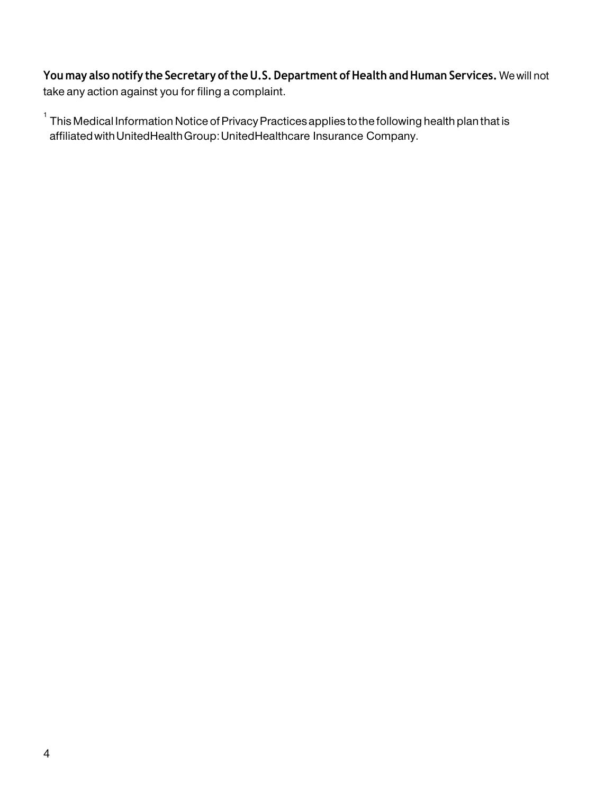**You may also notify the Secretary of the U.S. Department of Health and Human Services.** We will not take any action against you for filing a complaint.

 $^{\text{1}}$  This Medical Information Notice of Privacy Practices applies to the following health plan that is affiliatedwithUnitedHealthGroup:UnitedHealthcare Insurance Company.